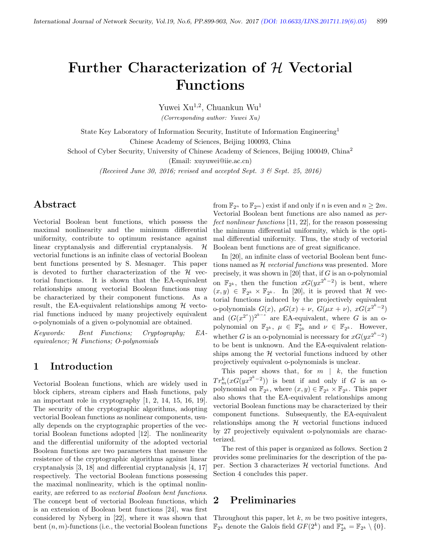# Further Characterization of H Vectorial Functions

Yuwei Xu<sup>1,2</sup>, Chuankun Wu<sup>1</sup>

(Corresponding author: Yuwei Xu)

State Key Laboratory of Information Security, Institute of Information Engineering<sup>1</sup> Chinese Academy of Sciences, Beijing 100093, China

School of Cyber Security, University of Chinese Academy of Sciences, Beijing 100049, China<sup>2</sup>

(Email: xuyuwei@iie.ac.cn)

(Received June 30, 2016; revised and accepted Sept. 3 & Sept. 25, 2016)

# Abstract

Vectorial Boolean bent functions, which possess the maximal nonlinearity and the minimum differential uniformity, contribute to optimum resistance against linear cryptanalysis and differential cryptanalysis. H vectorial functions is an infinite class of vectorial Boolean bent functions presented by S. Mesnager. This paper is devoted to further characterization of the  $\mathcal H$  vectorial functions. It is shown that the EA-equivalent relationships among vectorial Boolean functions may be characterized by their component functions. As a result, the EA-equivalent relationships among  $\mathcal H$  vectorial functions induced by many projectively equivalent o-polynomials of a given o-polynomial are obtained.

Keywords: Bent Functions; Cryptography; EAequivalence; H Functions; O-polynomials

# 1 Introduction

Vectorial Boolean functions, which are widely used in block ciphers, stream ciphers and Hash functions, paly an important role in cryptography [1, 2, 14, 15, 16, 19]. The security of the cryptographic algorithms, adopting vectorial Boolean functions as nonlinear components, usually depends on the cryptographic properties of the vectorial Boolean functions adopted [12]. The nonlinearity and the differential uniformity of the adopted vectorial Boolean functions are two parameters that measure the resistence of the cryptographic algorithms against linear cryptanalysis [3, 18] and differential cryptanalysis [4, 17] respectively. The vectorial Boolean functions possessing the maximal nonlinearity, which is the optimal nonlinearity, are referred to as vectorial Boolean bent functions. The concept bent of vectorial Boolean functions, which is an extension of Boolean bent functions [24], was first considered by Nyberg in [22], where it was shown that bent  $(n, m)$ -functions (i.e., the vectorial Boolean functions from  $\mathbb{F}_{2^n}$  to  $\mathbb{F}_{2^m}$ ) exist if and only if n is even and  $n \geq 2m$ . Vectorial Boolean bent functions are also named as perfect nonlinear functions [11, 22], for the reason possessing the minimum differential uniformity, which is the optimal differential uniformity. Thus, the study of vectorial Boolean bent functions are of great significance.

In [20], an infinite class of vectorial Boolean bent functions named as  $H$  vectorial functions was presented. More precisely, it was shown in [20] that, if  $G$  is an o-polynomial on  $\mathbb{F}_{2^k}$ , then the function  $xG(yx^{2^k-2})$  is bent, where  $(x, y) \in \mathbb{F}_{2^k} \times \mathbb{F}_{2^k}$ . In [20], it is proved that H vectorial functions induced by the projectively equivalent o-polynomials  $G(x)$ ,  $\mu G(x) + \nu$ ,  $G(\mu x + \nu)$ ,  $xG(x^{2^k-2})$ and  $(G(x^{2^s}))^{2^{k-s}}$  are EA-equivalent, where G is an opolynomial on  $\mathbb{F}_{2^k}$ ,  $\mu \in \mathbb{F}_{2^k}^*$  and  $\nu \in \mathbb{F}_{2^k}$ . However, whether G is an o-polynomial is necessary for  $xG(yx^{2^k-2})$ to be bent is unknown. And the EA-equivalent relationships among the  $H$  vectorial functions induced by other projectively equivalent o-polynomials is unclear.

This paper shows that, for  $m \mid k$ , the function  $Tr_m^k(xG(yx^{2^k-2}))$  is bent if and only if G is an opolynomial on  $\mathbb{F}_{2^k}$ , where  $(x, y) \in \mathbb{F}_{2^k} \times \mathbb{F}_{2^k}$ . This paper also shows that the EA-equivalent relationships among vectorial Boolean functions may be characterized by their component functions. Subsequently, the EA-equivalent relationships among the  $H$  vectorial functions induced by 27 projectively equivalent o-polynomials are characterized.

The rest of this paper is organized as follows. Section 2 provides some preliminaries for the description of the paper. Section 3 characterizes  $H$  vectorial functions. And Section 4 concludes this paper.

### 2 Preliminaries

Throughout this paper, let  $k$ ,  $m$  be two positive integers,  $\mathbb{F}_{2^k}$  denote the Galois field  $GF(2^k)$  and  $\mathbb{F}_{2^k}^* = \mathbb{F}_{2^k} \setminus \{0\}.$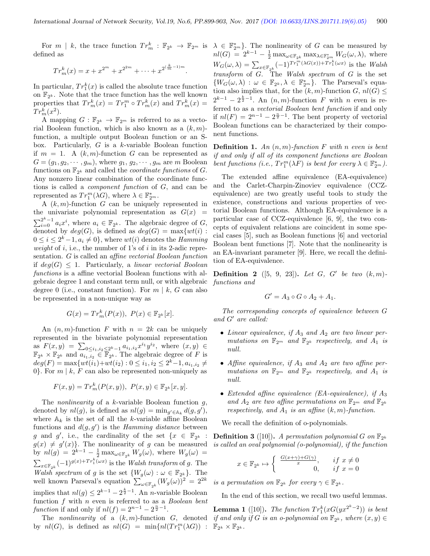defined as

$$
Tr_m^k(x) = x + x^{2^m} + x^{2^{2m}} + \dots + x^{2^{\left(\frac{k}{m}-1\right)m}}.
$$

In particular,  $Tr_1^k(x)$  is called the absolute trace function on  $\mathbb{F}_{2^k}$ . Note that the trace function has the well known properties that  $Tr_m^k(x) = Tr_1^m \circ Tr_m^k(x)$  and  $Tr_m^k(x) =$  $Tr_m^k(x^2)$ .

A mapping  $G: \mathbb{F}_{2^k} \to \mathbb{F}_{2^m}$  is referred to as a vectorial Boolean function, which is also known as a  $(k, m)$ function, a multiple output Boolean function or an Sbox. Particularly,  $G$  is a  $k$ -variable Boolean function if  $m = 1$ . A  $(k, m)$ -function G can be represented as  $G = (g_1, g_2, \dots, g_m)$ , where  $g_1, g_2, \dots, g_m$  are m Boolean functions on  $\mathbb{F}_{2^k}$  and called the *coordinate functions* of G. Any nonzero linear combination of the coordinate functions is called a component function of G, and can be represented as  $Tr_1^m(\lambda G)$ , where  $\lambda \in \mathbb{F}_{2^m}^*$ .

A  $(k, m)$ -function G can be uniquely represented in the univariate polynomial representation as  $G(x)$  =  $\sum_{i=0}^{2^k-1} a_i x^i$ , where  $a_i \in \mathbb{F}_{2^k}$ . The algebraic degree of G, denoted by  $deg(G)$ , is defined as  $deg(G) = \max\{wt(i) :$  $0 \leq i \leq 2^k - 1, a_i \neq 0$ , where  $wt(i)$  denotes the *Hamming* weight of i, i.e., the number of 1's of i in its 2-adic representation. G is called an affine vectorial Boolean function if  $deg(G) \leq 1$ . Particularly, a linear vectorial Boolean functions is a affine vectorial Boolean functions with algebraic degree 1 and constant term null, or with algebraic degree 0 (i.e., constant function). For  $m \mid k$ , G can also be represented in a non-unique way as

$$
G(x) = Tr_m^k(P(x)), \ P(x) \in \mathbb{F}_{2^k}[x].
$$

An  $(n, m)$ -function F with  $n = 2k$  can be uniquely represented in the bivariate polynomial representation as  $F(x,y) = \sum_{0 \leq i_1, i_2 \leq 2^k - 1} a_{i_1, i_2} x^{i_1} y^{i_2}$ , where  $(x, y) \in$  $\mathbb{F}_{2^k} \times \mathbb{F}_{2^k}$  and  $\overline{a_{i_1,i_2}} \in \mathbb{F}_{2^k}$ . The algebraic degree of F is  $deg(F) = \max\{wt(i_1)+wt(i_2): 0 \leq i_1, i_2 \leq 2^k-1, a_{i_1,i_2} \neq 0\}$ 0. For  $m \mid k$ , F can also be represented non-uniquely as

$$
F(x, y) = Tr_m^k(P(x, y)), \ P(x, y) \in \mathbb{F}_{2^k}[x, y].
$$

The *nonlinearity* of a  $k$ -variable Boolean function  $g$ , denoted by  $nl(g)$ , is defined as  $nl(g) = \min_{g' \in A_k} d(g, g')$ , where  $\mathbb{A}_k$  is the set of all the k-variable affine Boolean functions and  $d(g, g')$  is the Hamming distance between g and g', i.e., the cardinality of the set  $\{x \in \mathbb{F}_{2^k} :$  $g(x) \neq g'(x)$ . The nonlinearity of g can be measured by  $nl(g) = 2^{k-1} - \frac{1}{2} \max_{\omega \in \mathbb{F}_{2^k}} W_g(\omega)$ , where  $W_g(\omega) =$  $\sum_{x \in \mathbb{F}_{2^k}} (-1)^{g(x)+Tr_1^k(\omega x)}$  is the *Walsh transform* of g. The Walsh spectrum of g is the set  $\{W_g(\omega): \omega \in \mathbb{F}_{2^k}\}.$  The well known Parseval's equation  $\sum_{\omega \in \mathbb{F}_{2^k}} (W_g(\omega))^2 = 2^{2k}$ implies that  $nl(g) \leq 2^{k-1} - 2^{\frac{k}{2}-1}$ . An *n*-variable Boolean function  $f$  with  $n$  even is referred to as a *Boolean bent* function if and only if  $nl(f) = 2^{n-1} - 2^{\frac{n}{2}-1}$ .

by  $nl(G)$ , is defined as  $nl(G) = \min\{nl(Tr_1^m(\lambda G)) : \mathbb{F}_{2^k} \times \mathbb{F}_{2^k}.\}$ 

For  $m \mid k$ , the trace function  $Tr_m^k : \mathbb{F}_{2^k} \to \mathbb{F}_{2^m}$  is  $\lambda \in \mathbb{F}_{2^m}^*$ . The nonlinearity of G can be measured by  $nl(G) = 2^{k-1} - \frac{1}{2} \max_{\omega \in \mathbb{F}_{2^k}} \max_{\lambda \in \mathbb{F}_{2^m}^*} W_G(\omega, \lambda)$ , where  $W_G(\omega, \lambda) = \sum_{x \in \mathbb{F}_{2^k}} (-1)^{Tr_1^m(\lambda G(x)) + Tr_1^k(\omega x)}$  is the Walsh  $transform$  of  $G$ . The Walsh spectrum of  $G$  is the set  $\{W_G(\omega,\lambda) : \omega \in \mathbb{F}_{2^k}, \lambda \in \mathbb{F}_{2^m}^*\}.$  The Parseval's equation also implies that, for the  $(k, m)$ -function  $G, nl(G) \le$  $2^{k-1} - 2^{\frac{k}{2}-1}$ . An  $(n, m)$ -function F with n even is referred to as a vectorial Boolean bent function if and only if  $nl(F) = 2^{n-1} - 2^{\frac{n}{2}-1}$ . The bent property of vectorial Boolean functions can be characterized by their component functions.

> **Definition 1.** An  $(n, m)$ -function F with n even is bent if and only if all of its component functions are Boolean bent functions (i.e.,  $Tr_1^m(\lambda F)$  is bent for every  $\lambda \in \mathbb{F}_{2^m}^*$ ).

> The extended affine equivalence (EA-equivalence) and the Carlet-Charpin-Zinoviev equivalence (CCZequivalence) are two greatly useful tools to study the existence, constructions and various properties of vectorial Boolean functions. Although EA-equivalence is a particular case of CCZ-equivalence [6, 9], the two concepts of equivalent relations are coincident in some special cases [5], such as Boolean functions [6] and vectorial Boolean bent functions [7]. Note that the nonlinearity is an EA-invariant parameter [9]. Here, we recall the definition of EA-equivalence.

> **Definition 2** ([5, 9, 23]). Let  $G$ ,  $G'$  be two  $(k, m)$ functions and

$$
G'=A_3\circ G\circ A_2+A_1.
$$

The corresponding concepts of equivalence between G and  $G'$  are called:

- Linear equivalence, if  $A_3$  and  $A_2$  are two linear permutations on  $\mathbb{F}_{2^m}$  and  $\mathbb{F}_{2^k}$  respectively, and  $A_1$  is null.
- Affine equivalence, if  $A_3$  and  $A_2$  are two affine permutations on  $\mathbb{F}_{2^m}$  and  $\mathbb{F}_{2^k}$  respectively, and  $A_1$  is null.
- Extended affine equivalence (EA-equivalence), if  $A_3$ and  $A_2$  are two affine permutations on  $\mathbb{F}_{2^m}$  and  $\mathbb{F}_{2^k}$ respectively, and  $A_1$  is an affine  $(k, m)$ -function.

We recall the definition of o-polynomials.

**Definition 3** ([10]). A permutation polynomial G on  $\mathbb{F}_{2^k}$ is called an oval polynomial (o-polynomial), if the function

$$
x \in \mathbb{F}_{2^k} \mapsto \begin{cases} \frac{G(x+\gamma)+G(\gamma)}{x}, & \text{if } x \neq 0\\ 0, & \text{if } x = 0 \end{cases}
$$

is a permutation on  $\mathbb{F}_{2^k}$  for every  $\gamma \in \mathbb{F}_{2^k}$ .

In the end of this section, we recall two useful lemmas.

The nonlinearity of a  $(k,m)$ -function G, denoted if and only if G is an o-polynomial on  $\mathbb{F}_{2^k}$ , where  $(x,y) \in$ **Lemma 1** ([10]). The function  $Tr_1^k(xG(yx^{2^k-2}))$  is bent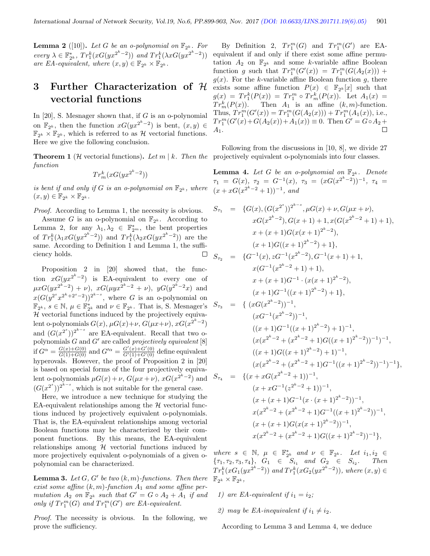$\Box$ 

**Lemma 2** ([10]). Let G be an o-polynomial on  $\mathbb{F}_{2^k}$ . For every  $\lambda \in \mathbb{F}_{2^k}^*$ ,  $Tr_1^k(xG(yx^{2^k-2}))$  and  $Tr_1^k(\lambda xG(yx^{2^k-2}))$ are EA-equivalent, where  $(x, y) \in \mathbb{F}_{2^k} \times \mathbb{F}_{2^k}$ .

# 3 Further Characterization of H vectorial functions

In  $[20]$ , S. Mesnager shown that, if G is an o-polynomial on  $\mathbb{F}_{2^k}$ , then the function  $xG(yx^{2^k-2})$  is bent,  $(x, y) \in$  $\mathbb{F}_{2^k} \times \mathbb{F}_{2^k}$ , which is referred to as  $\mathcal{H}$  vectorial functions. Here we give the following conclusion.

**Theorem 1** (*H* vectorial functions). Let  $m \mid k$ . Then the projectively equivalent o-polynomials into four classes. function

$$
Tr_m^k(xG(yx^{2^k-2}))
$$

is bent if and only if G is an o-polynomial on  $\mathbb{F}_{2^k}$ , where  $(x, y) \in \mathbb{F}_{2^k} \times \mathbb{F}_{2^k}.$ 

Proof. According to Lemma 1, the necessity is obvious. Assume G is an o-polynomial on  $\mathbb{F}_{2^k}$ . According to Lemma 2, for any  $\lambda_1, \lambda_2 \in \mathbb{F}_{2^m}^*$ , the bent properties of  $Tr_1^k(\lambda_1 xG(yx^{2^k-2}))$  and  $Tr_1^k(\lambda_2 xG(yx^{2^k-2}))$  are the same. According to Definition 1 and Lemma 1, the suffi-

ciency holds.

Proposition 2 in [20] showed that, the function  $xG(yx^{2^k-2})$  is EA-equivalent to every one of  $\mu xG(yx^{2^k-2}) + \nu$ ,  $xG(\mu yx^{2^k-2} + \nu)$ ,  $yG(y^{2^k-2}x)$  and  $x(G(y^{2^s}x^{2^k+2^s-2}))^{2^{k-s}}$ , where G is an o-polynomial on  $\mathbb{F}_{2^k}$ ,  $s \in \mathbb{N}$ ,  $\mu \in \mathbb{F}_{2^k}^*$  and  $\nu \in \mathbb{F}_{2^k}$ . That is, S. Mesnager's  $H$  vectorial functions induced by the projectively equivalent o-polynomials  $G(x)$ ,  $\mu G(x)+\nu$ ,  $G(\mu x+\nu)$ ,  $xG(x^{2^k-2})$ and  $(G(x^{2^s}))^{2^{k-s}}$  are EA-equivalent. Recall that two opolynomials  $G$  and  $G'$  are called projectively equivalent  $[8]$ if  $G^{\alpha} = \frac{G(x) + G(0)}{G(1) + G(0)}$  and  $G'^{\alpha} = \frac{G'(x) + G'(0)}{G'(1) + G'(0)}$  define equivalent hyperovals. However, the proof of Proposition 2 in [20] is based on special forms of the four projectively equivalent o-polynomials  $\mu G(x) + \nu$ ,  $G(\mu x + \nu)$ ,  $xG(x^{2^k-2})$  and  $(G(x^{2^s}))^{2^{k-s}}$ , which is not suitable for the general case.

Here, we introduce a new technique for studying the EA-equivalent relationships among the  $H$  vectorial functions induced by projectively equivalent o-polynomials. That is, the EA-equivalent relationships among vectorial Boolean functions may be characterized by their component functions. By this means, the EA-equivalent relationships among  $H$  vectorial functions induced by more projectively equivalent o-polynomials of a given opolynomial can be characterized.

**Lemma 3.** Let  $G$ ,  $G'$  be two  $(k, m)$ -functions. Then there exist some affine  $(k, m)$ -function  $A_1$  and some affine permutation  $A_2$  on  $\mathbb{F}_{2^k}$  such that  $G' = G \circ A_2 + A_1$  if and only if  $Tr_1^m(G)$  and  $Tr_1^m(G')$  are EA-equivalent.

Proof. The necessity is obvious. In the following, we prove the sufficiency.

By Definition 2,  $Tr_1^m(G)$  and  $Tr_1^m(G')$  are EAequivalent if and only if there exist some affine permutation  $A_2$  on  $\mathbb{F}_{2^k}$  and some k-variable affine Boolean function g such that  $Tr_1^m(G'(x)) = Tr_1^m(G(A_2(x))) +$  $g(x)$ . For the k-variable affine Boolean function g, there exists some affine function  $P(x) \in \mathbb{F}_{2^k}[x]$  such that  $g(x) = Tr_1^k(P(x)) = Tr_1^m \circ Tr_m^k(P(x))$ . Let  $A_1(x) =$  $Tr_m^k(P(x))$ . Then  $A_1$  is an affine  $(k, m)$ -function. Thus,  $Tr_1^m(G'(x)) = Tr_1^m(G(A_2(x))) + Tr_1^m(A_1(x))$ , i.e.,  $Tr_1^m(G'(x) + G(A_2(x)) + A_1(x)) \equiv 0$ . Then  $G' = G \circ A_2 +$  $A_1.$ П

Following from the discussions in [10, 8], we divide 27

**Lemma 4.** Let G be an o-polynomial on  $\mathbb{F}_{2^k}$ . Denote  $\tau_1 = G(x), \ \tau_2 = G^{-1}(x), \ \tau_3 = (xG(x^{2^k-2}))^{-1}, \ \tau_4 =$  $(x+xG(x^{2^k-2}+1))^{-1}$ , and

$$
S_{\tau_1} = \{G(x), (G(x^{2^s}))^{2^{k-s}}, \mu G(x) + \nu, G(\mu x + \nu),
$$
  
\n
$$
xG(x^{2^k-2}), G(x+1) + 1, x(G(x^{2^k-2}+1) + 1),
$$
  
\n
$$
x + (x+1)G(x(x+1)^{2^k-2}),
$$
  
\n
$$
(x+1)G((x+1)^{2^k-2}) + 1,
$$
  
\n
$$
S_{\tau_2} = \{G^{-1}(x), zG^{-1}(x^{2^k-2}), G^{-1}(x+1) + 1,
$$
  
\n
$$
x(G^{-1}(x^{2^k-2}+1) + 1),
$$
  
\n
$$
x + (x+1)G^{-1} \cdot (x(x+1)^{2^k-2}),
$$
  
\n
$$
(x+1)G^{-1}((x+1)^{2^k-2}) + 1,
$$
  
\n
$$
(xG^{-1}(x^{2^k-2}))^{-1},
$$
  
\n
$$
(xG^{-1}(x^{2^k-2}))^{-1},
$$
  
\n
$$
(xG^{2^k-2} + (x^{2^k-2}+1)G((x+1)^{2^k-2}))^{-1})^{-1},
$$
  
\n
$$
(x+1)G((x+1)^{2^k-2}) + 1)^{-1},
$$
  
\n
$$
(x+1)G((x+1)^{2^k-2}) + 1)^{-1},
$$
  
\n
$$
(x+1)G((x+1)^{2^k-2}) + 1)^{-1},
$$
  
\n
$$
(x+1)G((x+1)^{2^k-2}) + 1)^{-1},
$$
  
\n
$$
(x+1)G(x^{2^k-2}+1)G^{-1}((x+1)^{2^k-2}))^{-1})^{-1},
$$
  
\n
$$
(x+1)G^{-1}(x \cdot (x+1)^{2^k-2}))^{-1},
$$
  
\n
$$
(x+(x+1)G^{-(1)}(x \cdot (x+1)^{2^k-2}))^{-1},
$$
  
\n
$$
x(x^{2^k-2}+(x^{2^k-2}+1)G^{-1}((x+1)^{2^k-2}))^{-1},
$$
  
\n<math display="block</math>

where  $s \in \mathbb{N}$ ,  $\mu \in \mathbb{F}_{2^k}^*$  and  $\nu \in \mathbb{F}_{2^k}$ . Let  $i_1, i_2 \in$  ${\tau_1, \tau_2, \tau_3, \tau_4}, G_1 \in S_{i_1} \text{ and } G_2 \in S_{i_2}.$ . Then  $Tr_1^k(xG_1(yx^{2^k-2}))$  and  $Tr_1^k(xG_2(yx^{2^k-2})),$  where  $(x, y) \in$  $\mathbb{F}_{2^k}\times\mathbb{F}_{2^k},$ 

- 1) are EA-equivalent if  $i_1 = i_2$ ;
- 2) may be EA-inequivalent if  $i_1 \neq i_2$ .

According to Lemma 3 and Lemma 4, we deduce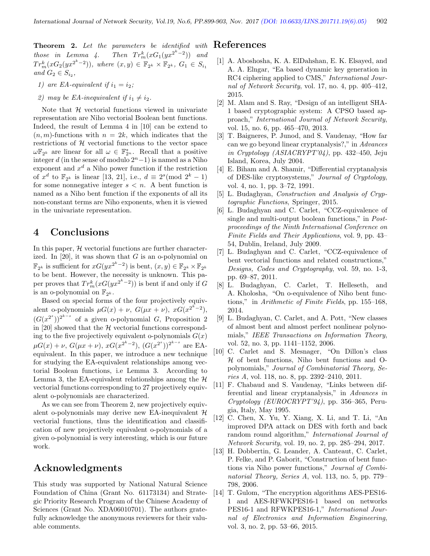**Theorem 2.** Let the parameters be identified with  $\text{References}$ those in Lemma 4. Then  $Tr_m^k(xG_1(yx^{2^k-2}))$  and  $Tr_m^k(xG_2(yx^{2^k-2})),$  where  $(x, y) \in \mathbb{F}_{2^k} \times \mathbb{F}_{2^k}, G_1 \in S_{i_1}$ and  $G_2 \in S_{i_2}$ ,

- 1) are EA-equivalent if  $i_1 = i_2$ ;
- 2) may be EA-inequivalent if  $i_1 \neq i_2$ .

Note that  $H$  vectorial functions viewed in univariate representation are Niho vectorial Boolean bent functions. Indeed, the result of Lemma 4 in [10] can be extend to  $(n, m)$ -functions with  $n = 2k$ , which indicates that the restrictions of  $H$  vectorial functions to the vector space  $\omega \mathbb{F}_{2^k}$  are linear for all  $\omega \in \mathbb{F}_{2^n}^*$ . Recall that a positive integer d (in the sense of modulo  $2<sup>n</sup> - 1$ ) is named as a Niho exponent and  $x^d$  a Niho power function if the restriction of  $x^d$  to  $\mathbb{F}_{2^k}$  is linear [13, 21], i.e.,  $d \equiv 2^s \pmod{2^k - 1}$ for some nonnegative integer  $s < n$ . A bent function is named as a Niho bent function if the exponents of all its non-constant terms are Niho exponents, when it is viewed in the univariate representation.

# 4 Conclusions

In this paper,  $H$  vectorial functions are further characterized. In  $[20]$ , it was shown that G is an o-polynomial on  $\mathbb{F}_{2^k}$  is sufficient for  $xG(yx^{2^k-2})$  is bent,  $(x, y) \in \mathbb{F}_{2^k} \times \mathbb{F}_{2^k}$ to be bent. However, the necessity is unknown. This paper proves that  $Tr_m^k(xG(yx^{2^k-2}))$  is bent if and only if G is an o-polynomial on  $\mathbb{F}_{2^k}$ .

Based on special forms of the four projectively equivalent o-polynomials  $\mu G(x) + \nu$ ,  $G(\mu x + \nu)$ ,  $xG(x^{2^k-2})$ ,  $(G(x^{2^s}))^{2^{k-s}}$  of a given o-polynomial G, Proposition 2 in [20] showed that the  $H$  vectorial functions corresponding to the five projectively equivalent o-polynomials  $G(x)$  $\mu G(x) + \nu$ ,  $G(\mu x + \nu)$ ,  $xG(x^{2^k-2})$ ,  $(G(x^{2^s}))^{2^{k-s}}$  are EAequivalent. In this paper, we introduce a new technique for studying the EA-equivalent relationships among vectorial Boolean functions, i.e Lemma 3. According to Lemma 3, the EA-equivalent relationships among the  $H$ vectorial functions corresponding to 27 projectively equivalent o-polynomials are characterized.

As we can see from Theorem 2, new projectively equivalent o-polynomials may derive new EA-inequivalent  $H$ vectorial functions, thus the identification and classification of new projectively equivalent o-polynomials of a given o-polynomial is very interesting, which is our future work.

# Acknowledgments

This study was supported by National Natural Science Foundation of China (Grant No. 61173134) and Strategic Priority Research Program of the Chinese Academy of Sciences (Grant No. XDA06010701). The authors gratefully acknowledge the anonymous reviewers for their valuable comments.

- [1] A. Aboshosha, K. A. ElDahshan, E. K. Elsayed, and A. A. Elngar, "Ea based dynamic key generation in RC4 ciphering applied to CMS," International Journal of Network Security, vol. 17, no. 4, pp. 405–412, 2015.
- [2] M. Alam and S. Ray, "Design of an intelligent SHA-1 based cryptographic system: A CPSO based approach," International Journal of Network Security, vol. 15, no. 6, pp. 465–470, 2013.
- [3] T. Baigneres, P. Junod, and S. Vaudenay, "How far can we go beyond linear cryptanalysis?," in Advances in Cryptology (ASIACRYPT'04), pp. 432–450, Jeju Island, Korea, July 2004.
- [4] E. Biham and A. Shamir, "Differential cryptanalysis of DES-like cryptosystems," Journal of Cryptology, vol. 4, no. 1, pp. 3–72, 1991.
- [5] L. Budaghyan, Construction and Analysis of Cryptographic Functions, Springer, 2015.
- [6] L. Budaghyan and C. Carlet, "CCZ-equivalence of single and multi-output boolean functions," in Postproceedings of the Ninth International Conference on Finite Fields and Their Applications, vol. 9, pp. 43– 54, Dublin, Ireland, July 2009.
- [7] L. Budaghyan and C. Carlet, "CCZ-equivalence of bent vectorial functions and related constructions," Designs, Codes and Cryptography, vol. 59, no. 1-3, pp. 69–87, 2011.
- [8] L. Budaghyan, C. Carlet, T. Helleseth, and A. Kholosha, "On o-equivalence of Niho bent functions," in Arithmetic of Finite Fields, pp. 155–168, 2014.
- [9] L. Budaghyan, C. Carlet, and A. Pott, "New classes of almost bent and almost perfect nonlinear polynomials," IEEE Transactions on Information Theory, vol. 52, no. 3, pp. 1141–1152, 2006.
- [10] C. Carlet and S. Mesnager, "On Dillon's class  $H$  of bent functions, Niho bent functions and Opolynomials," Journal of Combinatorial Theory, Series A, vol. 118, no. 8, pp. 2392–2410, 2011.
- [11] F. Chabaud and S. Vaudenay, "Links between differential and linear cryptanalysis," in Advances in Cryptology (EUROCRYPT'94), pp. 356–365, Perugia, Italy, May 1995.
- [12] C. Chen, X. Yu, Y. Xiang, X. Li, and T. Li, "An improved DPA attack on DES with forth and back random round algorithm," International Journal of Network Security, vol. 19, no. 2, pp. 285–294, 2017.
- [13] H. Dobbertin, G. Leander, A. Canteaut, C. Carlet, P. Felke, and P. Gaborit, "Construction of bent functions via Niho power functions," Journal of Combinatorial Theory, Series A, vol. 113, no. 5, pp. 779– 798, 2006.
- [14] T. Gulom, "The encryption algorithms AES-PES16- 1 and AES-RFWKPES16-1 based on networks PES16-1 and RFWKPES16-1," International Journal of Electronics and Information Engineering, vol. 3, no. 2, pp. 53–66, 2015.